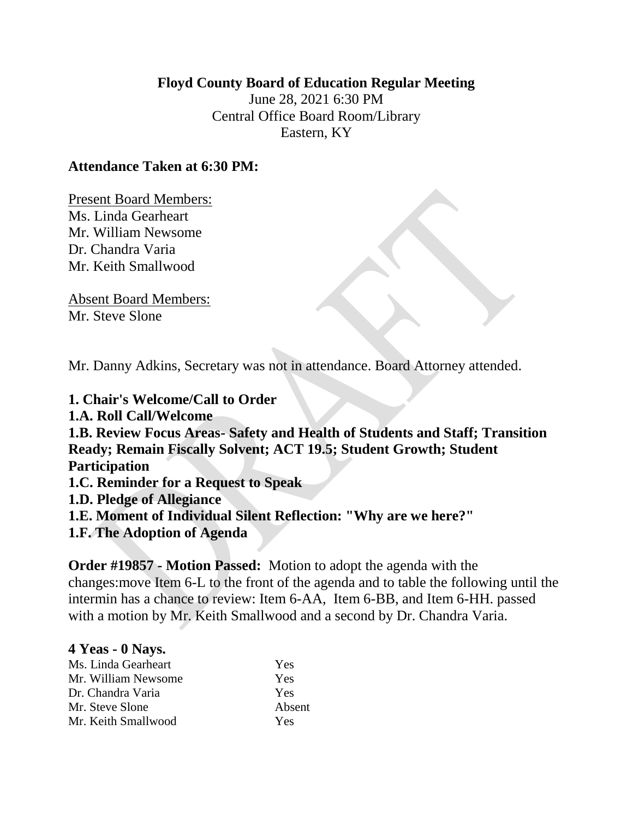### **Floyd County Board of Education Regular Meeting**

June 28, 2021 6:30 PM Central Office Board Room/Library Eastern, KY

### **Attendance Taken at 6:30 PM:**

Present Board Members: Ms. Linda Gearheart Mr. William Newsome Dr. Chandra Varia Mr. Keith Smallwood

Absent Board Members: Mr. Steve Slone

Mr. Danny Adkins, Secretary was not in attendance. Board Attorney attended.

**1. Chair's Welcome/Call to Order 1.A. Roll Call/Welcome 1.B. Review Focus Areas- Safety and Health of Students and Staff; Transition Ready; Remain Fiscally Solvent; ACT 19.5; Student Growth; Student Participation 1.C. Reminder for a Request to Speak 1.D. Pledge of Allegiance 1.E. Moment of Individual Silent Reflection: "Why are we here?" 1.F. The Adoption of Agenda** 

**Order #19857 - Motion Passed:** Motion to adopt the agenda with the changes:move Item 6-L to the front of the agenda and to table the following until the intermin has a chance to review: Item 6-AA, Item 6-BB, and Item 6-HH. passed with a motion by Mr. Keith Smallwood and a second by Dr. Chandra Varia.

| 4 Yeas - 0 Nays.    |        |
|---------------------|--------|
| Ms. Linda Gearheart | Yes    |
| Mr. William Newsome | Yes    |
| Dr. Chandra Varia   | Yes    |
| Mr. Steve Slone     | Absent |
| Mr. Keith Smallwood | Yes    |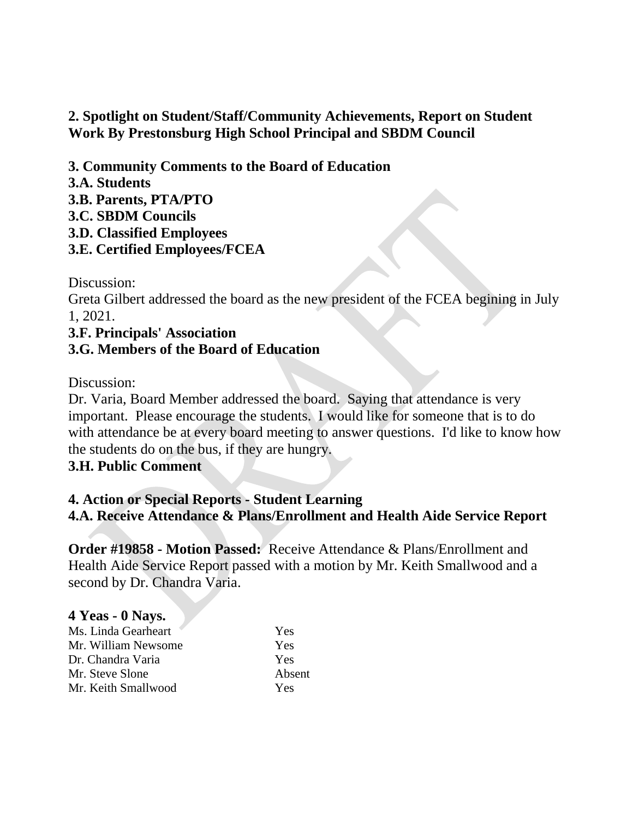# **2. Spotlight on Student/Staff/Community Achievements, Report on Student Work By Prestonsburg High School Principal and SBDM Council**

- **3. Community Comments to the Board of Education**
- **3.A. Students**
- **3.B. Parents, PTA/PTO**
- **3.C. SBDM Councils**
- **3.D. Classified Employees**
- **3.E. Certified Employees/FCEA**

Discussion:

Greta Gilbert addressed the board as the new president of the FCEA begining in July 1, 2021.

# **3.F. Principals' Association 3.G. Members of the Board of Education**

Discussion:

Dr. Varia, Board Member addressed the board. Saying that attendance is very important. Please encourage the students. I would like for someone that is to do with attendance be at every board meeting to answer questions. I'd like to know how the students do on the bus, if they are hungry.

# **3.H. Public Comment**

# **4. Action or Special Reports - Student Learning 4.A. Receive Attendance & Plans/Enrollment and Health Aide Service Report**

**Order #19858 - Motion Passed:** Receive Attendance & Plans/Enrollment and Health Aide Service Report passed with a motion by Mr. Keith Smallwood and a second by Dr. Chandra Varia.

#### **4 Yeas - 0 Nays.**  Ms. Linda Gearheart Yes Mr. William Newsome Yes Dr. Chandra Varia Yes Mr. Steve Slone Absent Mr. Keith Smallwood Yes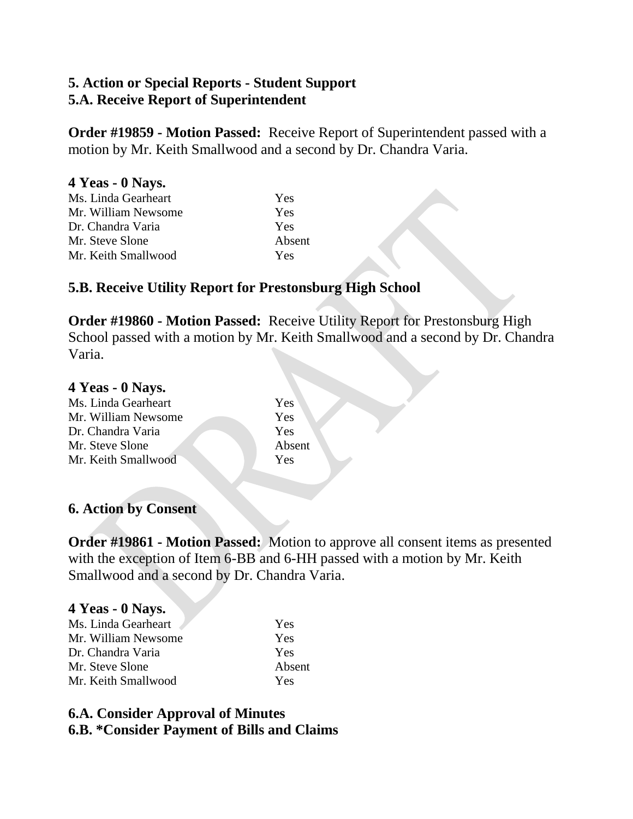# **5. Action or Special Reports - Student Support 5.A. Receive Report of Superintendent**

**Order #19859 - Motion Passed:** Receive Report of Superintendent passed with a motion by Mr. Keith Smallwood and a second by Dr. Chandra Varia.

| 4 Yeas - 0 Nays.    |        |
|---------------------|--------|
| Ms. Linda Gearheart | Yes    |
| Mr. William Newsome | Yes    |
| Dr. Chandra Varia   | Yes    |
| Mr. Steve Slone     | Absent |
| Mr. Keith Smallwood | Yes    |

### **5.B. Receive Utility Report for Prestonsburg High School**

**Order #19860 - Motion Passed:** Receive Utility Report for Prestonsburg High School passed with a motion by Mr. Keith Smallwood and a second by Dr. Chandra Varia.

#### **4 Yeas - 0 Nays.**

| Ms. Linda Gearheart | Yes    |
|---------------------|--------|
| Mr. William Newsome | Yes    |
| Dr. Chandra Varia   | Yes    |
| Mr. Steve Slone     | Absent |
| Mr. Keith Smallwood | Yes    |
|                     |        |

## **6. Action by Consent**

**Order #19861 - Motion Passed:** Motion to approve all consent items as presented with the exception of Item 6-BB and 6-HH passed with a motion by Mr. Keith Smallwood and a second by Dr. Chandra Varia.

# **4 Yeas - 0 Nays.**

| Ms. Linda Gearheart | Yes    |
|---------------------|--------|
| Mr. William Newsome | Yes    |
| Dr. Chandra Varia   | Yes    |
| Mr. Steve Slone     | Absent |
| Mr. Keith Smallwood | Yes    |

## **6.A. Consider Approval of Minutes 6.B. \*Consider Payment of Bills and Claims**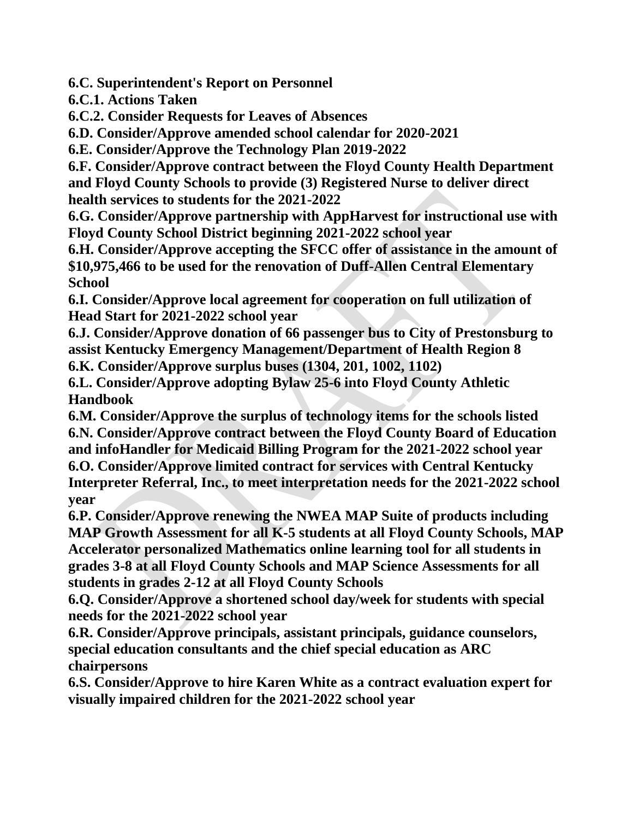**6.C. Superintendent's Report on Personnel** 

**6.C.1. Actions Taken** 

**6.C.2. Consider Requests for Leaves of Absences** 

**6.D. Consider/Approve amended school calendar for 2020-2021** 

**6.E. Consider/Approve the Technology Plan 2019-2022** 

**6.F. Consider/Approve contract between the Floyd County Health Department and Floyd County Schools to provide (3) Registered Nurse to deliver direct health services to students for the 2021-2022** 

**6.G. Consider/Approve partnership with AppHarvest for instructional use with Floyd County School District beginning 2021-2022 school year** 

**6.H. Consider/Approve accepting the SFCC offer of assistance in the amount of \$10,975,466 to be used for the renovation of Duff-Allen Central Elementary School** 

**6.I. Consider/Approve local agreement for cooperation on full utilization of Head Start for 2021-2022 school year** 

**6.J. Consider/Approve donation of 66 passenger bus to City of Prestonsburg to assist Kentucky Emergency Management/Department of Health Region 8 6.K. Consider/Approve surplus buses (1304, 201, 1002, 1102)** 

**6.L. Consider/Approve adopting Bylaw 25-6 into Floyd County Athletic Handbook** 

**6.M. Consider/Approve the surplus of technology items for the schools listed 6.N. Consider/Approve contract between the Floyd County Board of Education and infoHandler for Medicaid Billing Program for the 2021-2022 school year 6.O. Consider/Approve limited contract for services with Central Kentucky Interpreter Referral, Inc., to meet interpretation needs for the 2021-2022 school year** 

**6.P. Consider/Approve renewing the NWEA MAP Suite of products including MAP Growth Assessment for all K-5 students at all Floyd County Schools, MAP Accelerator personalized Mathematics online learning tool for all students in grades 3-8 at all Floyd County Schools and MAP Science Assessments for all students in grades 2-12 at all Floyd County Schools** 

**6.Q. Consider/Approve a shortened school day/week for students with special needs for the 2021-2022 school year** 

**6.R. Consider/Approve principals, assistant principals, guidance counselors, special education consultants and the chief special education as ARC chairpersons** 

**6.S. Consider/Approve to hire Karen White as a contract evaluation expert for visually impaired children for the 2021-2022 school year**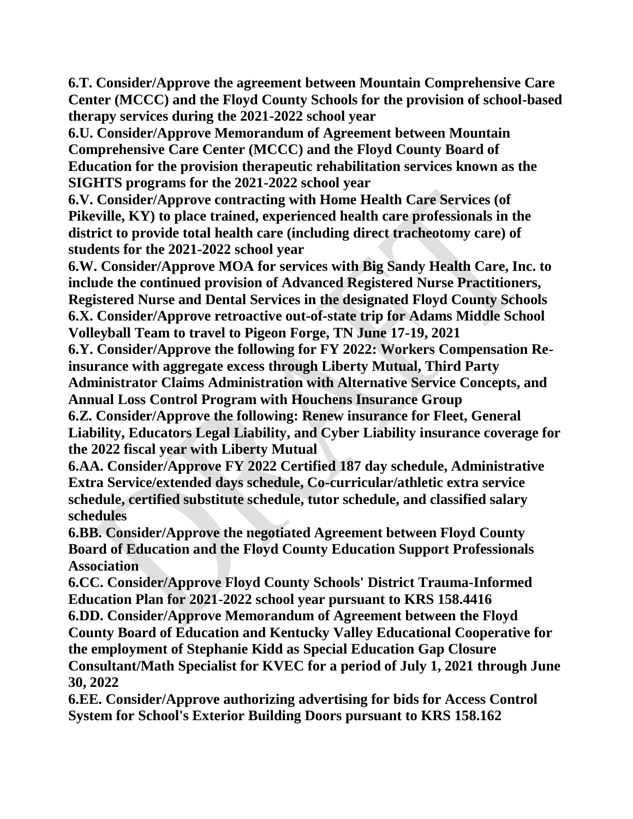**6.T. Consider/Approve the agreement between Mountain Comprehensive Care Center (MCCC) and the Floyd County Schools for the provision of school-based therapy services during the 2021-2022 school year** 

**6.U. Consider/Approve Memorandum of Agreement between Mountain Comprehensive Care Center (MCCC) and the Floyd County Board of Education for the provision therapeutic rehabilitation services known as the SIGHTS programs for the 2021-2022 school year** 

**6.V. Consider/Approve contracting with Home Health Care Services (of Pikeville, KY) to place trained, experienced health care professionals in the district to provide total health care (including direct tracheotomy care) of students for the 2021-2022 school year** 

**6.W. Consider/Approve MOA for services with Big Sandy Health Care, Inc. to include the continued provision of Advanced Registered Nurse Practitioners, Registered Nurse and Dental Services in the designated Floyd County Schools 6.X. Consider/Approve retroactive out-of-state trip for Adams Middle School Volleyball Team to travel to Pigeon Forge, TN June 17-19, 2021** 

**6.Y. Consider/Approve the following for FY 2022: Workers Compensation Reinsurance with aggregate excess through Liberty Mutual, Third Party Administrator Claims Administration with Alternative Service Concepts, and Annual Loss Control Program with Houchens Insurance Group** 

**6.Z. Consider/Approve the following: Renew insurance for Fleet, General Liability, Educators Legal Liability, and Cyber Liability insurance coverage for the 2022 fiscal year with Liberty Mutual** 

**6.AA. Consider/Approve FY 2022 Certified 187 day schedule, Administrative Extra Service/extended days schedule, Co-curricular/athletic extra service schedule, certified substitute schedule, tutor schedule, and classified salary schedules** 

**6.BB. Consider/Approve the negotiated Agreement between Floyd County Board of Education and the Floyd County Education Support Professionals Association** 

**6.CC. Consider/Approve Floyd County Schools' District Trauma-Informed Education Plan for 2021-2022 school year pursuant to KRS 158.4416** 

**6.DD. Consider/Approve Memorandum of Agreement between the Floyd County Board of Education and Kentucky Valley Educational Cooperative for the employment of Stephanie Kidd as Special Education Gap Closure Consultant/Math Specialist for KVEC for a period of July 1, 2021 through June 30, 2022** 

**6.EE. Consider/Approve authorizing advertising for bids for Access Control System for School's Exterior Building Doors pursuant to KRS 158.162**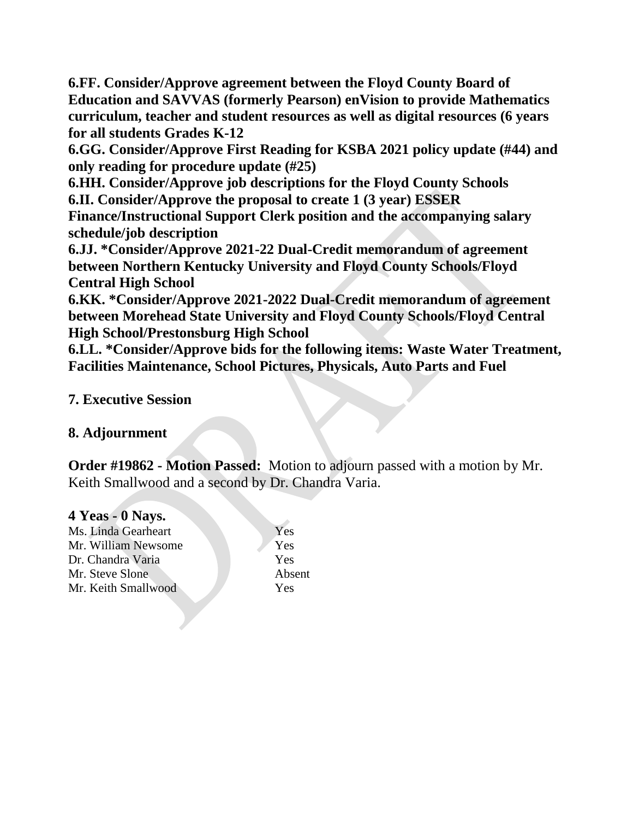**6.FF. Consider/Approve agreement between the Floyd County Board of Education and SAVVAS (formerly Pearson) enVision to provide Mathematics curriculum, teacher and student resources as well as digital resources (6 years for all students Grades K-12** 

**6.GG. Consider/Approve First Reading for KSBA 2021 policy update (#44) and only reading for procedure update (#25)** 

**6.HH. Consider/Approve job descriptions for the Floyd County Schools 6.II. Consider/Approve the proposal to create 1 (3 year) ESSER** 

**Finance/Instructional Support Clerk position and the accompanying salary schedule/job description** 

**6.JJ. \*Consider/Approve 2021-22 Dual-Credit memorandum of agreement between Northern Kentucky University and Floyd County Schools/Floyd Central High School** 

**6.KK. \*Consider/Approve 2021-2022 Dual-Credit memorandum of agreement between Morehead State University and Floyd County Schools/Floyd Central High School/Prestonsburg High School** 

**6.LL. \*Consider/Approve bids for the following items: Waste Water Treatment, Facilities Maintenance, School Pictures, Physicals, Auto Parts and Fuel** 

## **7. Executive Session**

## **8. Adjournment**

**Order #19862 - Motion Passed:** Motion to adjourn passed with a motion by Mr. Keith Smallwood and a second by Dr. Chandra Varia.

## **4 Yeas - 0 Nays.**

Ms. Linda Gearheart Yes Mr. William Newsome Dr. Chandra Varia Yes Mr. Steve Slone Absent Mr. Keith Smallwood Yes